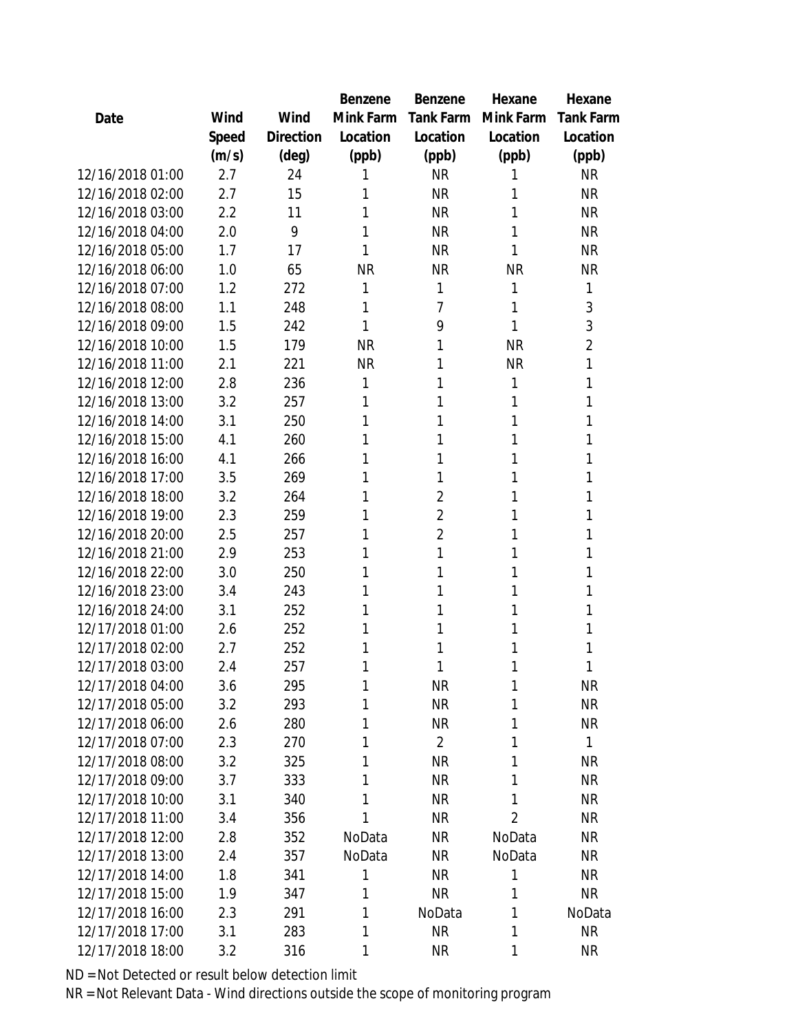|                  |       |                | Benzene   | Benzene          | Hexane         | Hexane    |
|------------------|-------|----------------|-----------|------------------|----------------|-----------|
| Date             | Wind  | Wind           | Mink Farm | <b>Tank Farm</b> | Mink Farm      | Tank Farm |
|                  | Speed | Direction      | Location  | Location         | Location       | Location  |
|                  | (m/s) | $(\text{deg})$ | (ppb)     | (ppb)            | (ppb)          | (ppb)     |
| 12/16/2018 01:00 | 2.7   | 24             |           | <b>NR</b>        | 1              | <b>NR</b> |
| 12/16/2018 02:00 | 2.7   | 15             | 1         | <b>NR</b>        | 1              | <b>NR</b> |
| 12/16/2018 03:00 | 2.2   | 11             | 1         | <b>NR</b>        | 1              | <b>NR</b> |
| 12/16/2018 04:00 | 2.0   | 9              | 1         | <b>NR</b>        | 1              | <b>NR</b> |
| 12/16/2018 05:00 | 1.7   | 17             |           | <b>NR</b>        | 1              | <b>NR</b> |
| 12/16/2018 06:00 | 1.0   | 65             | <b>NR</b> | <b>NR</b>        | <b>NR</b>      | <b>NR</b> |
| 12/16/2018 07:00 | 1.2   | 272            | 1         | 1                | 1              | 1         |
| 12/16/2018 08:00 | 1.1   | 248            | 1         | 7                | 1              | 3         |
| 12/16/2018 09:00 | 1.5   | 242            | 1         | 9                | 1              | 3         |
| 12/16/2018 10:00 | 1.5   | 179            | <b>NR</b> | 1                | <b>NR</b>      | 2         |
| 12/16/2018 11:00 | 2.1   | 221            | <b>NR</b> | 1                | <b>NR</b>      | 1         |
| 12/16/2018 12:00 | 2.8   | 236            | 1         | 1                | 1              | 1         |
| 12/16/2018 13:00 | 3.2   | 257            | 1         | 1                | 1              | 1         |
| 12/16/2018 14:00 | 3.1   | 250            | 1         | 1                | 1              | 1         |
| 12/16/2018 15:00 | 4.1   | 260            | 1         | 1                | 1              | 1         |
| 12/16/2018 16:00 | 4.1   | 266            | 1         | 1                | 1              | 1         |
| 12/16/2018 17:00 | 3.5   | 269            | 1         | 1                | 1              | 1         |
| 12/16/2018 18:00 | 3.2   | 264            |           | $\overline{2}$   | 1              | 1         |
| 12/16/2018 19:00 | 2.3   | 259            |           | $\overline{2}$   | 1              | 1         |
| 12/16/2018 20:00 | 2.5   | 257            | 1         | $\overline{2}$   | 1              | 1         |
| 12/16/2018 21:00 | 2.9   | 253            | 1         | 1                | 1              | 1         |
| 12/16/2018 22:00 | 3.0   | 250            | 1         | 1                | 1              | 1         |
| 12/16/2018 23:00 | 3.4   | 243            |           | 1                | 1              | 1         |
| 12/16/2018 24:00 | 3.1   | 252            | 1         | 1                | 1              | 1         |
| 12/17/2018 01:00 | 2.6   | 252            | 1         | 1                | 1              | 1         |
| 12/17/2018 02:00 | 2.7   | 252            | 1         | 1                | 1              | 1         |
| 12/17/2018 03:00 | 2.4   | 257            | 1         | 1                | 1              | 1         |
| 12/17/2018 04:00 | 3.6   | 295            | 1         | <b>NR</b>        | 1              | <b>NR</b> |
| 12/17/2018 05:00 | 3.2   | 293            | 1         | <b>NR</b>        | 1              | <b>NR</b> |
| 12/17/2018 06:00 | 2.6   | 280            | 1         | <b>NR</b>        | 1              | <b>NR</b> |
| 12/17/2018 07:00 | 2.3   | 270            | 1         | $\overline{2}$   | 1              | 1         |
| 12/17/2018 08:00 | 3.2   | 325            | 1         | <b>NR</b>        | 1              | <b>NR</b> |
| 12/17/2018 09:00 | 3.7   | 333            | 1         | <b>NR</b>        | 1              | <b>NR</b> |
| 12/17/2018 10:00 | 3.1   | 340            | 1         | <b>NR</b>        | 1              | <b>NR</b> |
| 12/17/2018 11:00 | 3.4   | 356            | 1         | <b>NR</b>        | $\overline{2}$ | <b>NR</b> |
| 12/17/2018 12:00 | 2.8   | 352            | NoData    | NR               | NoData         | <b>NR</b> |
| 12/17/2018 13:00 | 2.4   | 357            | NoData    | <b>NR</b>        | NoData         | <b>NR</b> |
| 12/17/2018 14:00 | 1.8   | 341            | 1         | <b>NR</b>        | 1              | <b>NR</b> |
| 12/17/2018 15:00 | 1.9   | 347            | 1         | <b>NR</b>        | 1              | NR        |
| 12/17/2018 16:00 | 2.3   | 291            | 1         | NoData           | 1              | NoData    |
| 12/17/2018 17:00 | 3.1   | 283            | 1         | <b>NR</b>        | 1              | <b>NR</b> |
| 12/17/2018 18:00 | 3.2   | 316            | 1         | <b>NR</b>        | 1              | <b>NR</b> |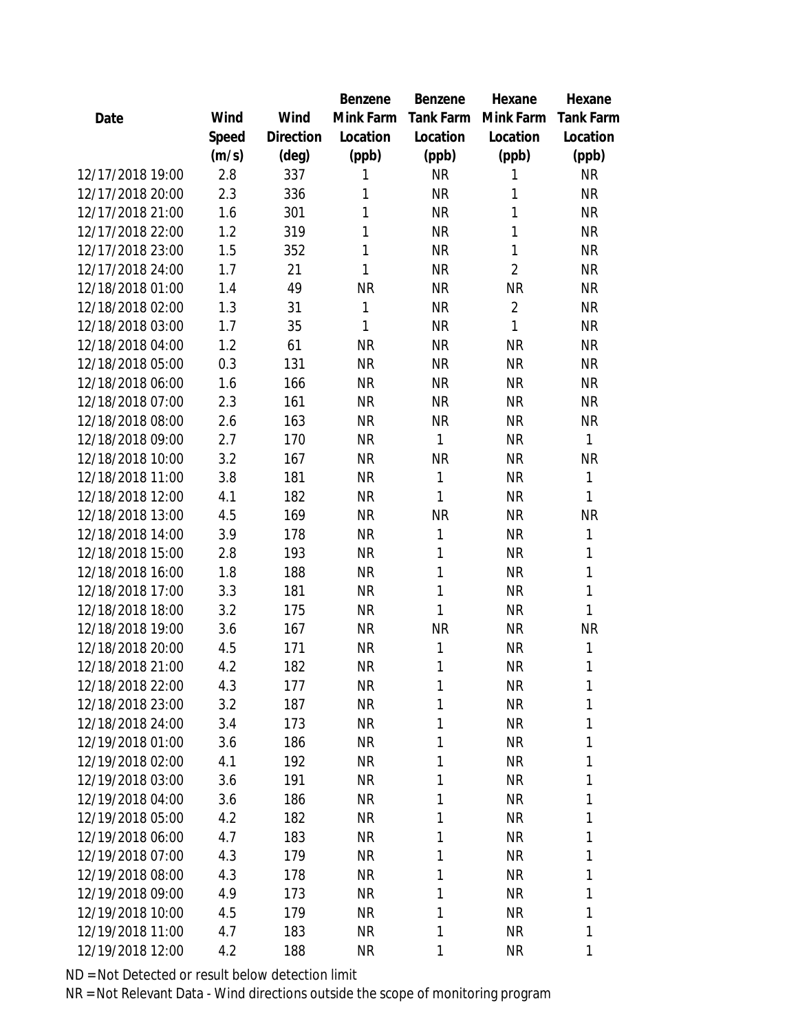|                  |       |                | Benzene   | Benzene   | Hexane         | Hexane           |
|------------------|-------|----------------|-----------|-----------|----------------|------------------|
| Date             | Wind  | Wind           | Mink Farm | Tank Farm | Mink Farm      | <b>Tank Farm</b> |
|                  | Speed | Direction      | Location  | Location  | Location       | Location         |
|                  | (m/s) | $(\text{deg})$ | (ppb)     | (ppb)     | (ppb)          | (ppb)            |
| 12/17/2018 19:00 | 2.8   | 337            | 1         | <b>NR</b> | 1              | <b>NR</b>        |
| 12/17/2018 20:00 | 2.3   | 336            | 1         | <b>NR</b> | 1              | <b>NR</b>        |
| 12/17/2018 21:00 | 1.6   | 301            | 1         | <b>NR</b> | 1              | <b>NR</b>        |
| 12/17/2018 22:00 | 1.2   | 319            | 1         | <b>NR</b> | $\mathbf{1}$   | <b>NR</b>        |
| 12/17/2018 23:00 | 1.5   | 352            | 1         | <b>NR</b> | $\mathbf{1}$   | <b>NR</b>        |
| 12/17/2018 24:00 | 1.7   | 21             | 1         | <b>NR</b> | $\overline{2}$ | <b>NR</b>        |
| 12/18/2018 01:00 | 1.4   | 49             | <b>NR</b> | <b>NR</b> | <b>NR</b>      | <b>NR</b>        |
| 12/18/2018 02:00 | 1.3   | 31             | 1         | <b>NR</b> | $\overline{2}$ | <b>NR</b>        |
| 12/18/2018 03:00 | 1.7   | 35             | 1         | <b>NR</b> | 1              | <b>NR</b>        |
| 12/18/2018 04:00 | 1.2   | 61             | <b>NR</b> | <b>NR</b> | <b>NR</b>      | <b>NR</b>        |
| 12/18/2018 05:00 | 0.3   | 131            | <b>NR</b> | <b>NR</b> | <b>NR</b>      | <b>NR</b>        |
| 12/18/2018 06:00 | 1.6   | 166            | <b>NR</b> | <b>NR</b> | <b>NR</b>      | <b>NR</b>        |
| 12/18/2018 07:00 | 2.3   | 161            | <b>NR</b> | <b>NR</b> | <b>NR</b>      | <b>NR</b>        |
| 12/18/2018 08:00 | 2.6   | 163            | <b>NR</b> | <b>NR</b> | <b>NR</b>      | <b>NR</b>        |
| 12/18/2018 09:00 | 2.7   | 170            | <b>NR</b> | 1         | <b>NR</b>      | 1                |
| 12/18/2018 10:00 | 3.2   | 167            | <b>NR</b> | <b>NR</b> | <b>NR</b>      | <b>NR</b>        |
| 12/18/2018 11:00 | 3.8   | 181            | <b>NR</b> | 1         | <b>NR</b>      | 1                |
| 12/18/2018 12:00 | 4.1   | 182            | <b>NR</b> | 1         | <b>NR</b>      | 1                |
| 12/18/2018 13:00 | 4.5   | 169            | <b>NR</b> | <b>NR</b> | <b>NR</b>      | <b>NR</b>        |
| 12/18/2018 14:00 | 3.9   | 178            | <b>NR</b> | 1         | <b>NR</b>      | 1                |
| 12/18/2018 15:00 | 2.8   | 193            | <b>NR</b> | 1         | <b>NR</b>      | 1                |
| 12/18/2018 16:00 | 1.8   | 188            | <b>NR</b> | 1         | <b>NR</b>      | 1                |
| 12/18/2018 17:00 | 3.3   | 181            | <b>NR</b> | 1         | <b>NR</b>      | 1                |
| 12/18/2018 18:00 | 3.2   | 175            | <b>NR</b> | 1         | <b>NR</b>      | 1                |
| 12/18/2018 19:00 | 3.6   | 167            | <b>NR</b> | <b>NR</b> | <b>NR</b>      | <b>NR</b>        |
| 12/18/2018 20:00 | 4.5   | 171            | <b>NR</b> | 1         | <b>NR</b>      | 1                |
| 12/18/2018 21:00 | 4.2   | 182            | <b>NR</b> | 1         | <b>NR</b>      | 1                |
| 12/18/2018 22:00 | 4.3   | 177            | <b>NR</b> | 1         | <b>NR</b>      | 1                |
| 12/18/2018 23:00 | 3.2   | 187            | <b>NR</b> | 1         | <b>NR</b>      | 1                |
| 12/18/2018 24:00 | 3.4   | 173            | <b>NR</b> | 1         | <b>NR</b>      | 1                |
| 12/19/2018 01:00 | 3.6   | 186            | NR        | 1         | <b>NR</b>      | 1                |
| 12/19/2018 02:00 | 4.1   | 192            | <b>NR</b> | 1         | <b>NR</b>      | 1                |
| 12/19/2018 03:00 | 3.6   | 191            | <b>NR</b> | 1         | <b>NR</b>      | 1                |
| 12/19/2018 04:00 | 3.6   | 186            | <b>NR</b> | 1         | <b>NR</b>      | 1                |
| 12/19/2018 05:00 | 4.2   | 182            | <b>NR</b> | 1         | <b>NR</b>      | 1                |
| 12/19/2018 06:00 | 4.7   | 183            | NR        | 1         | <b>NR</b>      | 1                |
| 12/19/2018 07:00 | 4.3   | 179            | <b>NR</b> | 1         | <b>NR</b>      | 1                |
| 12/19/2018 08:00 | 4.3   | 178            | <b>NR</b> | 1         | <b>NR</b>      | 1                |
| 12/19/2018 09:00 | 4.9   | 173            | <b>NR</b> | 1         | <b>NR</b>      | 1                |
| 12/19/2018 10:00 | 4.5   | 179            | NR        | 1         | <b>NR</b>      | 1                |
| 12/19/2018 11:00 | 4.7   | 183            | NR        | 1         | <b>NR</b>      | 1                |
| 12/19/2018 12:00 | 4.2   | 188            | <b>NR</b> | 1         | <b>NR</b>      | 1                |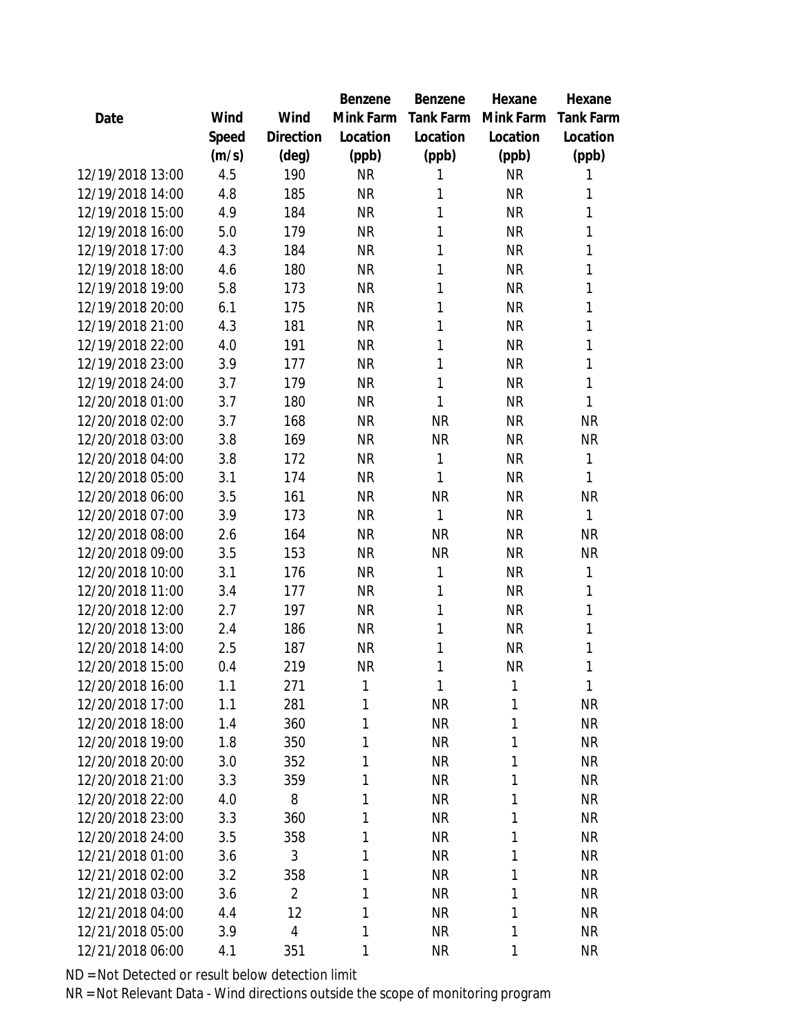|                  |       |                | <b>Benzene</b> | Benzene          | Hexane       | Hexane           |
|------------------|-------|----------------|----------------|------------------|--------------|------------------|
| Date             | Wind  | Wind           | Mink Farm      | <b>Tank Farm</b> | Mink Farm    | <b>Tank Farm</b> |
|                  | Speed | Direction      | Location       | Location         | Location     | Location         |
|                  | (m/s) | $(\text{deg})$ | (ppb)          | (ppb)            | (ppb)        | (ppb)            |
| 12/19/2018 13:00 | 4.5   | 190            | <b>NR</b>      | 1                | <b>NR</b>    | 1                |
| 12/19/2018 14:00 | 4.8   | 185            | <b>NR</b>      | 1                | <b>NR</b>    | 1                |
| 12/19/2018 15:00 | 4.9   | 184            | <b>NR</b>      | 1                | <b>NR</b>    | 1                |
| 12/19/2018 16:00 | 5.0   | 179            | <b>NR</b>      | 1                | <b>NR</b>    | 1                |
| 12/19/2018 17:00 | 4.3   | 184            | <b>NR</b>      | 1                | <b>NR</b>    | 1                |
| 12/19/2018 18:00 | 4.6   | 180            | <b>NR</b>      | 1                | <b>NR</b>    | 1                |
| 12/19/2018 19:00 | 5.8   | 173            | <b>NR</b>      | 1                | <b>NR</b>    | 1                |
| 12/19/2018 20:00 | 6.1   | 175            | <b>NR</b>      | 1                | <b>NR</b>    | 1                |
| 12/19/2018 21:00 | 4.3   | 181            | <b>NR</b>      | 1                | <b>NR</b>    | 1                |
| 12/19/2018 22:00 | 4.0   | 191            | <b>NR</b>      | 1                | <b>NR</b>    | 1                |
| 12/19/2018 23:00 | 3.9   | 177            | <b>NR</b>      | 1                | <b>NR</b>    | 1                |
| 12/19/2018 24:00 | 3.7   | 179            | <b>NR</b>      | 1                | <b>NR</b>    | 1                |
| 12/20/2018 01:00 | 3.7   | 180            | <b>NR</b>      | 1                | <b>NR</b>    | 1                |
| 12/20/2018 02:00 | 3.7   | 168            | <b>NR</b>      | <b>NR</b>        | <b>NR</b>    | <b>NR</b>        |
| 12/20/2018 03:00 | 3.8   | 169            | <b>NR</b>      | <b>NR</b>        | <b>NR</b>    | <b>NR</b>        |
| 12/20/2018 04:00 | 3.8   | 172            | <b>NR</b>      | 1                | <b>NR</b>    | 1                |
| 12/20/2018 05:00 | 3.1   | 174            | <b>NR</b>      | 1                | <b>NR</b>    | 1                |
| 12/20/2018 06:00 | 3.5   | 161            | <b>NR</b>      | <b>NR</b>        | <b>NR</b>    | <b>NR</b>        |
| 12/20/2018 07:00 | 3.9   | 173            | <b>NR</b>      | 1                | <b>NR</b>    | 1                |
| 12/20/2018 08:00 | 2.6   | 164            | <b>NR</b>      | <b>NR</b>        | <b>NR</b>    | <b>NR</b>        |
| 12/20/2018 09:00 | 3.5   | 153            | <b>NR</b>      | <b>NR</b>        | <b>NR</b>    | <b>NR</b>        |
| 12/20/2018 10:00 | 3.1   | 176            | <b>NR</b>      | 1                | <b>NR</b>    | 1                |
| 12/20/2018 11:00 | 3.4   | 177            | <b>NR</b>      | 1                | <b>NR</b>    | 1                |
| 12/20/2018 12:00 | 2.7   | 197            | <b>NR</b>      | 1                | <b>NR</b>    | 1                |
| 12/20/2018 13:00 | 2.4   | 186            | <b>NR</b>      | 1                | <b>NR</b>    | 1                |
| 12/20/2018 14:00 | 2.5   | 187            | <b>NR</b>      | 1                | <b>NR</b>    | 1                |
| 12/20/2018 15:00 | 0.4   | 219            | <b>NR</b>      | 1                | <b>NR</b>    | 1                |
| 12/20/2018 16:00 | 1.1   | 271            | 1              | 1                | 1            | 1                |
| 12/20/2018 17:00 | 1.1   | 281            | 1              | <b>NR</b>        | 1            | <b>NR</b>        |
| 12/20/2018 18:00 | 1.4   | 360            | 1              | <b>NR</b>        | 1            | <b>NR</b>        |
| 12/20/2018 19:00 | 1.8   | 350            | 1              | <b>NR</b>        | 1            | <b>NR</b>        |
| 12/20/2018 20:00 | 3.0   | 352            | 1              | <b>NR</b>        | 1            | <b>NR</b>        |
| 12/20/2018 21:00 | 3.3   | 359            | 1              | <b>NR</b>        | 1            | <b>NR</b>        |
| 12/20/2018 22:00 | 4.0   | 8              | 1              | <b>NR</b>        | 1            | <b>NR</b>        |
| 12/20/2018 23:00 | 3.3   | 360            | 1              | <b>NR</b>        | 1            | <b>NR</b>        |
| 12/20/2018 24:00 | 3.5   | 358            | 1              | <b>NR</b>        | 1            | <b>NR</b>        |
| 12/21/2018 01:00 | 3.6   | 3              | 1              | <b>NR</b>        | 1            | <b>NR</b>        |
| 12/21/2018 02:00 | 3.2   | 358            | 1              | <b>NR</b>        | 1            | <b>NR</b>        |
| 12/21/2018 03:00 | 3.6   | $\overline{2}$ | 1              | <b>NR</b>        | 1            | <b>NR</b>        |
| 12/21/2018 04:00 | 4.4   | 12             | 1              | <b>NR</b>        | 1            | <b>NR</b>        |
| 12/21/2018 05:00 | 3.9   | 4              | 1              | <b>NR</b>        | $\mathbf{1}$ | <b>NR</b>        |
| 12/21/2018 06:00 | 4.1   | 351            | 1              | <b>NR</b>        | $\mathbf{1}$ | <b>NR</b>        |
|                  |       |                |                |                  |              |                  |